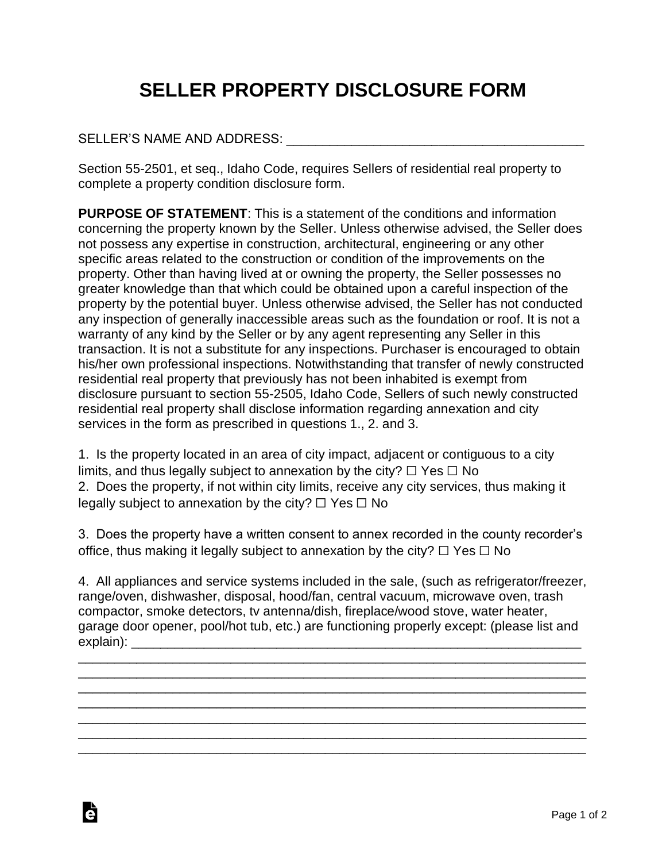## **SELLER PROPERTY DISCLOSURE FORM**

## SELLER'S NAME AND ADDRESS: \_\_\_\_\_\_\_\_\_\_\_\_\_\_\_\_\_\_\_\_\_\_\_\_\_\_\_\_\_\_\_\_\_\_\_\_\_\_\_\_\_

Ġ

Section 55-2501, et seq., Idaho Code, requires Sellers of residential real property to complete a property condition disclosure form.

**PURPOSE OF STATEMENT**: This is a statement of the conditions and information concerning the property known by the Seller. Unless otherwise advised, the Seller does not possess any expertise in construction, architectural, engineering or any other specific areas related to the construction or condition of the improvements on the property. Other than having lived at or owning the property, the Seller possesses no greater knowledge than that which could be obtained upon a careful inspection of the property by the potential buyer. Unless otherwise advised, the Seller has not conducted any inspection of generally inaccessible areas such as the foundation or roof. It is not a warranty of any kind by the Seller or by any agent representing any Seller in this transaction. It is not a substitute for any inspections. Purchaser is encouraged to obtain his/her own professional inspections. Notwithstanding that transfer of newly constructed residential real property that previously has not been inhabited is exempt from disclosure pursuant to section 55-2505, Idaho Code, Sellers of such newly constructed residential real property shall disclose information regarding annexation and city services in the form as prescribed in questions 1., 2. and 3.

1. Is the property located in an area of city impact, adjacent or contiguous to a city limits, and thus legally subject to annexation by the city?  $\Box$  Yes  $\Box$  No 2. Does the property, if not within city limits, receive any city services, thus making it legally subject to annexation by the city?  $\Box$  Yes  $\Box$  No

3. Does the property have a written consent to annex recorded in the county recorder's office, thus making it legally subject to annexation by the city?  $\Box$  Yes  $\Box$  No

4. All appliances and service systems included in the sale, (such as refrigerator/freezer, range/oven, dishwasher, disposal, hood/fan, central vacuum, microwave oven, trash compactor, smoke detectors, tv antenna/dish, fireplace/wood stove, water heater, garage door opener, pool/hot tub, etc.) are functioning properly except: (please list and explain): \_\_\_\_\_\_\_\_\_\_\_\_\_\_\_\_\_\_\_\_\_\_\_\_\_\_\_\_\_\_\_\_\_\_\_\_\_\_\_\_\_\_\_\_\_\_\_\_\_\_\_\_\_\_\_\_\_\_\_\_\_\_

\_\_\_\_\_\_\_\_\_\_\_\_\_\_\_\_\_\_\_\_\_\_\_\_\_\_\_\_\_\_\_\_\_\_\_\_\_\_\_\_\_\_\_\_\_\_\_\_\_\_\_\_\_\_\_\_\_\_\_\_\_\_\_\_\_\_\_\_\_\_ \_\_\_\_\_\_\_\_\_\_\_\_\_\_\_\_\_\_\_\_\_\_\_\_\_\_\_\_\_\_\_\_\_\_\_\_\_\_\_\_\_\_\_\_\_\_\_\_\_\_\_\_\_\_\_\_\_\_\_\_\_\_\_\_\_\_\_\_\_\_ \_\_\_\_\_\_\_\_\_\_\_\_\_\_\_\_\_\_\_\_\_\_\_\_\_\_\_\_\_\_\_\_\_\_\_\_\_\_\_\_\_\_\_\_\_\_\_\_\_\_\_\_\_\_\_\_\_\_\_\_\_\_\_\_\_\_\_\_\_\_ \_\_\_\_\_\_\_\_\_\_\_\_\_\_\_\_\_\_\_\_\_\_\_\_\_\_\_\_\_\_\_\_\_\_\_\_\_\_\_\_\_\_\_\_\_\_\_\_\_\_\_\_\_\_\_\_\_\_\_\_\_\_\_\_\_\_\_\_\_\_

\_\_\_\_\_\_\_\_\_\_\_\_\_\_\_\_\_\_\_\_\_\_\_\_\_\_\_\_\_\_\_\_\_\_\_\_\_\_\_\_\_\_\_\_\_\_\_\_\_\_\_\_\_\_\_\_\_\_\_\_\_\_\_\_\_\_\_\_\_\_ \_\_\_\_\_\_\_\_\_\_\_\_\_\_\_\_\_\_\_\_\_\_\_\_\_\_\_\_\_\_\_\_\_\_\_\_\_\_\_\_\_\_\_\_\_\_\_\_\_\_\_\_\_\_\_\_\_\_\_\_\_\_\_\_\_\_\_\_\_\_